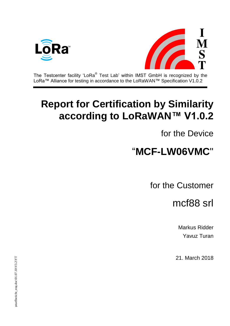



The Testcenter facility 'LoRa® Test Lab' within IMST GmbH is recognized by the LoRa™ Alliance for testing in accordance to the LoRaWAN™ Specification V1.0.2

# **Report for Certification by Similarity according to LoRaWAN™ V1.0.2**

for the Device

# "**MCF-LW06VMC**"

for the Customer

mcf88 srl

Markus Ridder Yavuz Turan

21. March 2018